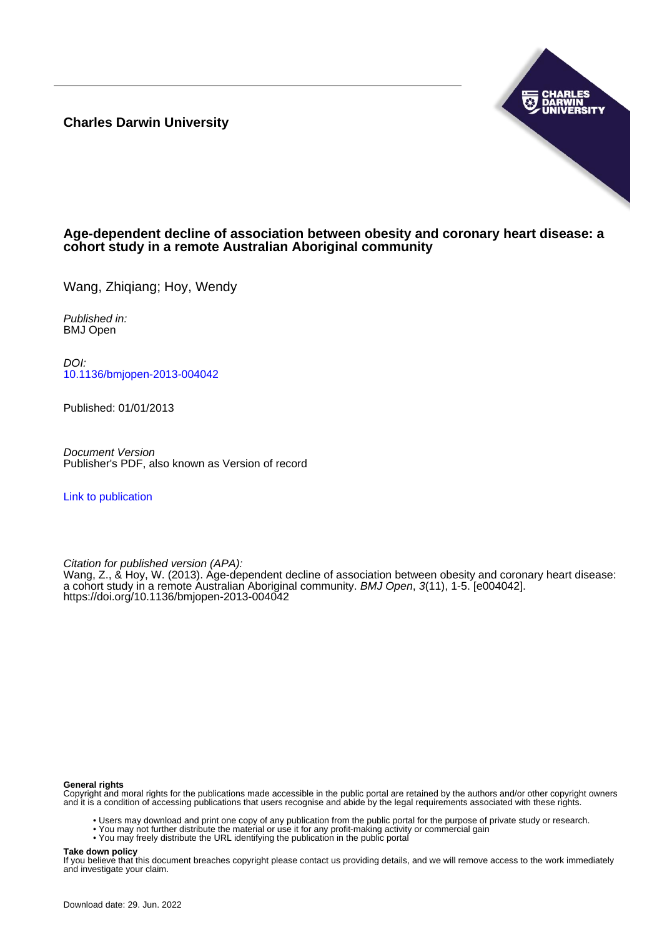**Charles Darwin University**



# **Age-dependent decline of association between obesity and coronary heart disease: a cohort study in a remote Australian Aboriginal community**

Wang, Zhigiang; Hoy, Wendy

Published in: BMJ Open

DOI: [10.1136/bmjopen-2013-004042](https://doi.org/10.1136/bmjopen-2013-004042)

Published: 01/01/2013

Document Version Publisher's PDF, also known as Version of record

[Link to publication](https://researchers.cdu.edu.au/en/publications/7775ef70-c2ea-46c9-92e0-8bf536ee135f)

Citation for published version (APA):

Wang, Z., & Hoy, W. (2013). Age-dependent decline of association between obesity and coronary heart disease: a cohort study in a remote Australian Aboriginal community. BMJ Open, 3(11), 1-5. [e004042]. <https://doi.org/10.1136/bmjopen-2013-004042>

#### **General rights**

Copyright and moral rights for the publications made accessible in the public portal are retained by the authors and/or other copyright owners and it is a condition of accessing publications that users recognise and abide by the legal requirements associated with these rights.

- Users may download and print one copy of any publication from the public portal for the purpose of private study or research.
- You may not further distribute the material or use it for any profit-making activity or commercial gain
- You may freely distribute the URL identifying the publication in the public portal

#### **Take down policy**

If you believe that this document breaches copyright please contact us providing details, and we will remove access to the work immediately and investigate your claim.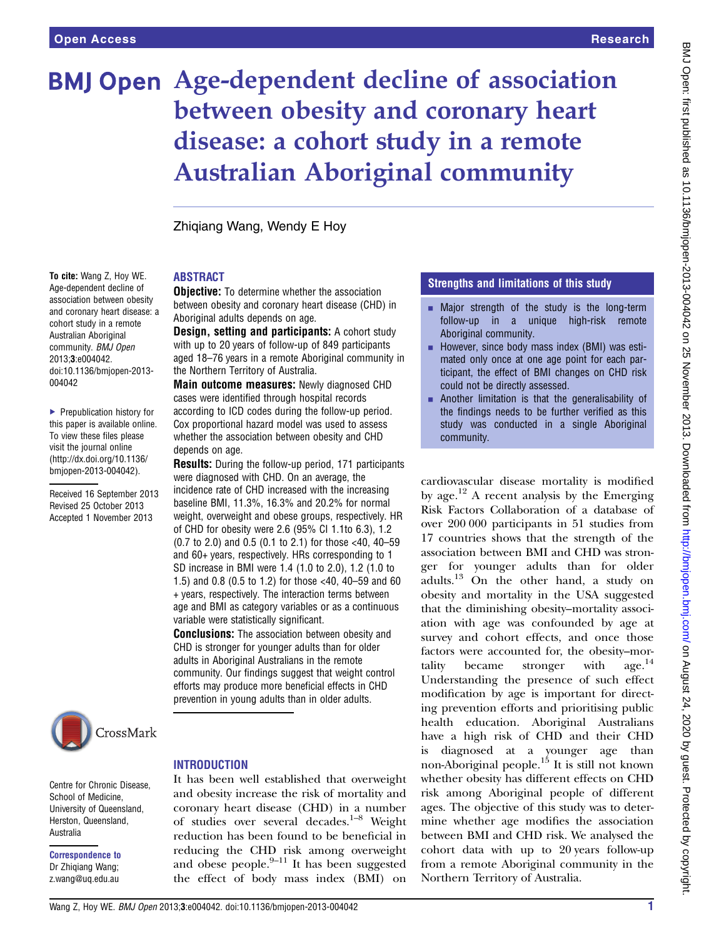To cite: Wang Z, Hoy WE. Age-dependent decline of association between obesity and coronary heart disease: a cohort study in a remote Australian Aboriginal community. BMJ Open 2013;3:e004042. doi:10.1136/bmjopen-2013-

▶ Prepublication history for this paper is available online. To view these files please visit the journal online [\(http://dx.doi.org/10.1136/](http://dx.doi.org/10.1136/bmjopen-2013-004042) [bmjopen-2013-004042](http://dx.doi.org/10.1136/bmjopen-2013-004042)).

Received 16 September 2013 Revised 25 October 2013 Accepted 1 November 2013

004042

# **BMJ Open Age-dependent decline of association** between obesity and coronary heart disease: a cohort study in a remote Australian Aboriginal community

Zhiqiang Wang, Wendy E Hoy

### ABSTRACT

**Objective:** To determine whether the association between obesity and coronary heart disease (CHD) in Aboriginal adults depends on age.

Design, setting and participants: A cohort study with up to 20 years of follow-up of 849 participants aged 18–76 years in a remote Aboriginal community in the Northern Territory of Australia.

Main outcome measures: Newly diagnosed CHD cases were identified through hospital records according to ICD codes during the follow-up period. Cox proportional hazard model was used to assess whether the association between obesity and CHD depends on age.

Results: During the follow-up period, 171 participants were diagnosed with CHD. On an average, the incidence rate of CHD increased with the increasing baseline BMI, 11.3%, 16.3% and 20.2% for normal weight, overweight and obese groups, respectively. HR of CHD for obesity were 2.6 (95% CI 1.1to 6.3), 1.2 (0.7 to 2.0) and 0.5 (0.1 to 2.1) for those <40, 40–59 and 60+ years, respectively. HRs corresponding to 1 SD increase in BMI were 1.4 (1.0 to 2.0), 1.2 (1.0 to 1.5) and 0.8 (0.5 to 1.2) for those <40, 40–59 and 60 + years, respectively. The interaction terms between age and BMI as category variables or as a continuous variable were statistically significant.

**Conclusions:** The association between obesity and CHD is stronger for younger adults than for older adults in Aboriginal Australians in the remote community. Our findings suggest that weight control efforts may produce more beneficial effects in CHD prevention in young adults than in older adults.



School of Medicine,

Herston, Queensland,

Correspondence to Dr Zhiqiang Wang; z.wang@uq.edu.au

Australia

#### **INTRODUCTION**

Centre for Chronic Disease, University of Queensland, It has been well established that overweight and obesity increase the risk of mortality and coronary heart disease (CHD) in a number of studies over several decades.<sup>1-8</sup> Weight reduction has been found to be beneficial in reducing the CHD risk among overweight and obese people. $9-11$  It has been suggested the effect of body mass index (BMI) on

#### Strengths and limitations of this study

- $\blacksquare$  Major strength of the study is the long-term follow-up in a unique high-risk remote Aboriginal community.
- $\blacksquare$  However, since body mass index (BMI) was estimated only once at one age point for each participant, the effect of BMI changes on CHD risk could not be directly assessed.
- Another limitation is that the generalisability of the findings needs to be further verified as this study was conducted in a single Aboriginal community.

cardiovascular disease mortality is modified by age.<sup>12</sup> A recent analysis by the Emerging Risk Factors Collaboration of a database of over 200 000 participants in 51 studies from 17 countries shows that the strength of the association between BMI and CHD was stronger for younger adults than for older  $\alpha$ dults.<sup>13</sup> On the other hand, a study on obesity and mortality in the USA suggested that the diminishing obesity–mortality association with age was confounded by age at survey and cohort effects, and once those factors were accounted for, the obesity–mor-<br>tality became stronger with  $\text{age.}^{14}$ tality became stronger with Understanding the presence of such effect modification by age is important for directing prevention efforts and prioritising public health education. Aboriginal Australians have a high risk of CHD and their CHD is diagnosed at a younger age than non-Aboriginal people.<sup>15</sup> It is still not known whether obesity has different effects on CHD risk among Aboriginal people of different ages. The objective of this study was to determine whether age modifies the association between BMI and CHD risk. We analysed the cohort data with up to 20 years follow-up from a remote Aboriginal community in the Northern Territory of Australia.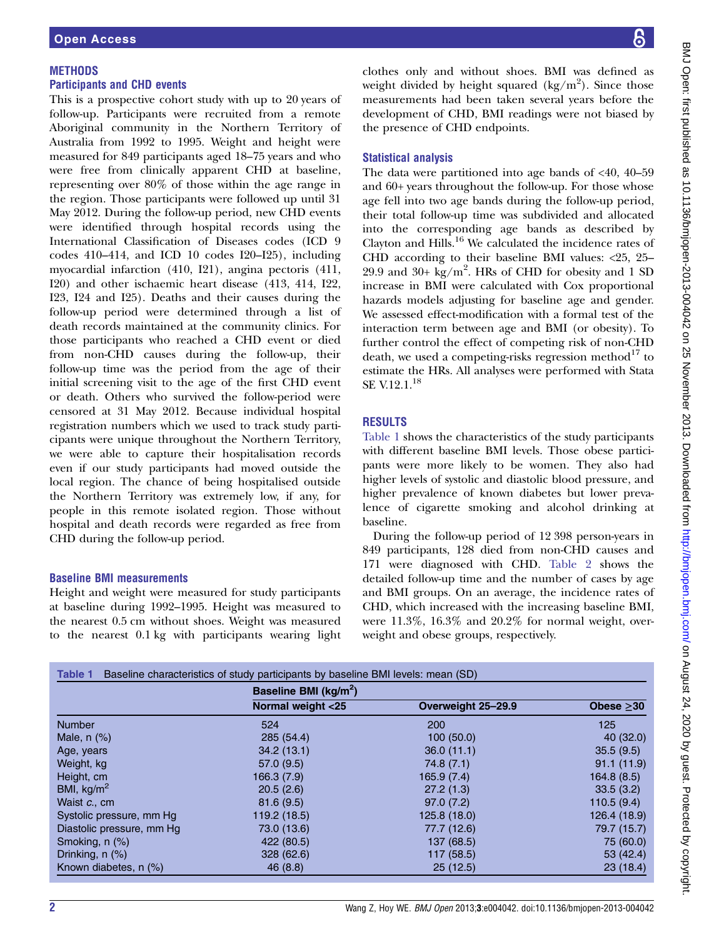## **METHODS**

## Participants and CHD events

This is a prospective cohort study with up to 20 years of follow-up. Participants were recruited from a remote Aboriginal community in the Northern Territory of Australia from 1992 to 1995. Weight and height were measured for 849 participants aged 18–75 years and who were free from clinically apparent CHD at baseline, representing over 80% of those within the age range in the region. Those participants were followed up until 31 May 2012. During the follow-up period, new CHD events were identified through hospital records using the International Classification of Diseases codes (ICD 9 codes 410–414, and ICD 10 codes I20–I25), including myocardial infarction (410, I21), angina pectoris (411, I20) and other ischaemic heart disease (413, 414, I22, I23, I24 and I25). Deaths and their causes during the follow-up period were determined through a list of death records maintained at the community clinics. For those participants who reached a CHD event or died from non-CHD causes during the follow-up, their follow-up time was the period from the age of their initial screening visit to the age of the first CHD event or death. Others who survived the follow-period were censored at 31 May 2012. Because individual hospital registration numbers which we used to track study participants were unique throughout the Northern Territory, we were able to capture their hospitalisation records even if our study participants had moved outside the local region. The chance of being hospitalised outside the Northern Territory was extremely low, if any, for people in this remote isolated region. Those without hospital and death records were regarded as free from CHD during the follow-up period.

#### Baseline BMI measurements

Height and weight were measured for study participants at baseline during 1992–1995. Height was measured to the nearest 0.5 cm without shoes. Weight was measured to the nearest 0.1 kg with participants wearing light clothes only and without shoes. BMI was defined as weight divided by height squared  $(kg/m^2)$ . Since those measurements had been taken several years before the development of CHD, BMI readings were not biased by the presence of CHD endpoints.

## Statistical analysis

The data were partitioned into age bands of  $<40$ ,  $40-59$ and 60+ years throughout the follow-up. For those whose age fell into two age bands during the follow-up period, their total follow-up time was subdivided and allocated into the corresponding age bands as described by Clayton and Hills.<sup>16</sup> We calculated the incidence rates of CHD according to their baseline BMI values: <25, 25– 29.9 and 30+  $\text{kg/m}^2$ . HRs of CHD for obesity and 1 SD increase in BMI were calculated with Cox proportional hazards models adjusting for baseline age and gender. We assessed effect-modification with a formal test of the interaction term between age and BMI (or obesity). To further control the effect of competing risk of non-CHD death, we used a competing-risks regression method<sup>17</sup> to estimate the HRs. All analyses were performed with Stata SE V.12.1.<sup>18</sup>

# RESULTS

Table 1 shows the characteristics of the study participants with different baseline BMI levels. Those obese participants were more likely to be women. They also had higher levels of systolic and diastolic blood pressure, and higher prevalence of known diabetes but lower prevalence of cigarette smoking and alcohol drinking at baseline.

During the follow-up period of 12 398 person-years in 849 participants, 128 died from non-CHD causes and 171 were diagnosed with CHD. Table 2 shows the detailed follow-up time and the number of cases by age and BMI groups. On an average, the incidence rates of CHD, which increased with the increasing baseline BMI, were 11.3%, 16.3% and 20.2% for normal weight, overweight and obese groups, respectively.

|                           | Baseline BMI (kg/m <sup>2</sup> ) |                    |                 |  |  |  |
|---------------------------|-----------------------------------|--------------------|-----------------|--|--|--|
|                           | Normal weight <25                 | Overweight 25-29.9 | Obese $\geq$ 30 |  |  |  |
| <b>Number</b>             | 524                               | 200                | 125             |  |  |  |
| Male, $n$ $(\%)$          | 285 (54.4)                        | 100(50.0)          | 40(32.0)        |  |  |  |
| Age, years                | 34.2(13.1)                        | 36.0(11.1)         | 35.5(9.5)       |  |  |  |
| Weight, kg                | 57.0 (9.5)                        | 74.8(7.1)          | 91.1(11.9)      |  |  |  |
| Height, cm                | 166.3(7.9)                        | 165.9(7.4)         | 164.8(8.5)      |  |  |  |
| BMI, $kg/m2$              | 20.5(2.6)                         | 27.2(1.3)          | 33.5(3.2)       |  |  |  |
| Waist c., cm              | 81.6(9.5)                         | 97.0(7.2)          | 110.5(9.4)      |  |  |  |
| Systolic pressure, mm Hg  | 119.2 (18.5)                      | 125.8 (18.0)       | 126.4 (18.9)    |  |  |  |
| Diastolic pressure, mm Hg | 73.0 (13.6)                       | 77.7 (12.6)        | 79.7 (15.7)     |  |  |  |
| Smoking, n (%)            | 422 (80.5)                        | 137 (68.5)         | 75 (60.0)       |  |  |  |
| Drinking, $n$ $(\%)$      | 328(62.6)                         | 117 (58.5)         | 53 (42.4)       |  |  |  |
| Known diabetes, n (%)     | 46(8.8)                           | 25(12.5)           | 23(18.4)        |  |  |  |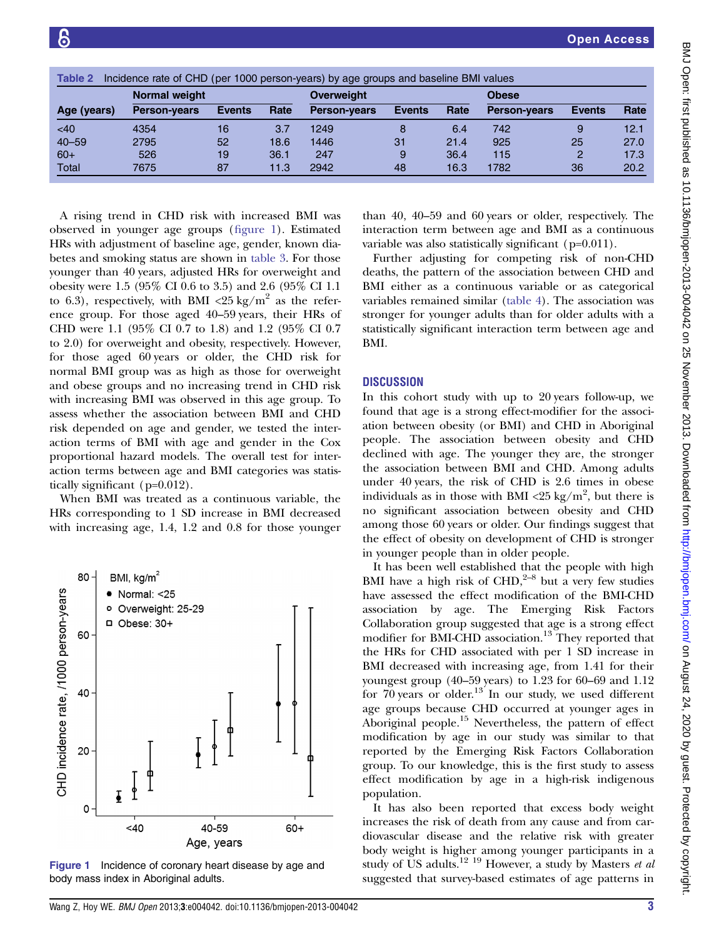| Table 2<br>Incidence rate of CHD (per 1000 person-years) by age groups and baseline BMI values |                      |               |      |                     |               |      |                     |               |      |  |
|------------------------------------------------------------------------------------------------|----------------------|---------------|------|---------------------|---------------|------|---------------------|---------------|------|--|
|                                                                                                | <b>Normal weight</b> |               |      |                     | Overweight    |      |                     | <b>Obese</b>  |      |  |
| Age (years)                                                                                    | <b>Person-years</b>  | <b>Events</b> | Rate | <b>Person-years</b> | <b>Events</b> | Rate | <b>Person-years</b> | <b>Events</b> | Rate |  |
| <40                                                                                            | 4354                 | 16            | 3.7  | 1249                | 8             | 6.4  | 742                 | 9             | 12.1 |  |
| $40 - 59$                                                                                      | 2795                 | 52            | 18.6 | 1446                | 31            | 21.4 | 925                 | 25            | 27.0 |  |
| $60+$                                                                                          | 526                  | 19            | 36.1 | 247                 | 9             | 36.4 | 115                 | 2             | 17.3 |  |
| Total                                                                                          | 7675                 | 87            | 11.3 | 2942                | 48            | 16.3 | 1782                | 36            | 20.2 |  |

A rising trend in CHD risk with increased BMI was observed in younger age groups (figure 1). Estimated HRs with adjustment of baseline age, gender, known diabetes and smoking status are shown in table 3. For those younger than 40 years, adjusted HRs for overweight and obesity were 1.5 (95% CI 0.6 to 3.5) and 2.6 (95% CI 1.1 to 6.3), respectively, with BMI <25 kg/m<sup>2</sup> as the reference group. For those aged 40–59 years, their HRs of CHD were 1.1 (95% CI 0.7 to 1.8) and 1.2 (95% CI 0.7 to 2.0) for overweight and obesity, respectively. However, for those aged 60 years or older, the CHD risk for normal BMI group was as high as those for overweight and obese groups and no increasing trend in CHD risk with increasing BMI was observed in this age group. To assess whether the association between BMI and CHD risk depended on age and gender, we tested the interaction terms of BMI with age and gender in the Cox proportional hazard models. The overall test for interaction terms between age and BMI categories was statistically significant (p=0.012).

When BMI was treated as a continuous variable, the HRs corresponding to 1 SD increase in BMI decreased with increasing age, 1.4, 1.2 and 0.8 for those younger



Figure 1 Incidence of coronary heart disease by age and body mass index in Aboriginal adults.

than 40, 40–59 and 60 years or older, respectively. The interaction term between age and BMI as a continuous variable was also statistically significant (p=0.011).

Further adjusting for competing risk of non-CHD deaths, the pattern of the association between CHD and BMI either as a continuous variable or as categorical variables remained similar (table 4). The association was stronger for younger adults than for older adults with a statistically significant interaction term between age and BMI.

## **DISCUSSION**

In this cohort study with up to 20 years follow-up, we found that age is a strong effect-modifier for the association between obesity (or BMI) and CHD in Aboriginal people. The association between obesity and CHD declined with age. The younger they are, the stronger the association between BMI and CHD. Among adults under 40 years, the risk of CHD is 2.6 times in obese individuals as in those with BMI  $\langle 25 \text{ kg/m}^2$ , but there is no significant association between obesity and CHD among those 60 years or older. Our findings suggest that the effect of obesity on development of CHD is stronger in younger people than in older people.

It has been well established that the people with high BMI have a high risk of  $CHD<sub>2</sub><sup>2–8</sup>$  but a very few studies have assessed the effect modification of the BMI-CHD association by age. The Emerging Risk Factors Collaboration group suggested that age is a strong effect modifier for BMI-CHD association.<sup>13</sup> They reported that the HRs for CHD associated with per 1 SD increase in BMI decreased with increasing age, from 1.41 for their youngest group (40–59 years) to 1.23 for 60–69 and 1.12 for  $70$  years or older.<sup>13</sup> In our study, we used different age groups because CHD occurred at younger ages in Aboriginal people.<sup>15</sup> Nevertheless, the pattern of effect modification by age in our study was similar to that reported by the Emerging Risk Factors Collaboration group. To our knowledge, this is the first study to assess effect modification by age in a high-risk indigenous population.

It has also been reported that excess body weight increases the risk of death from any cause and from cardiovascular disease and the relative risk with greater body weight is higher among younger participants in a study of US adults.<sup>12 19</sup> However, a study by Masters et al. suggested that survey-based estimates of age patterns in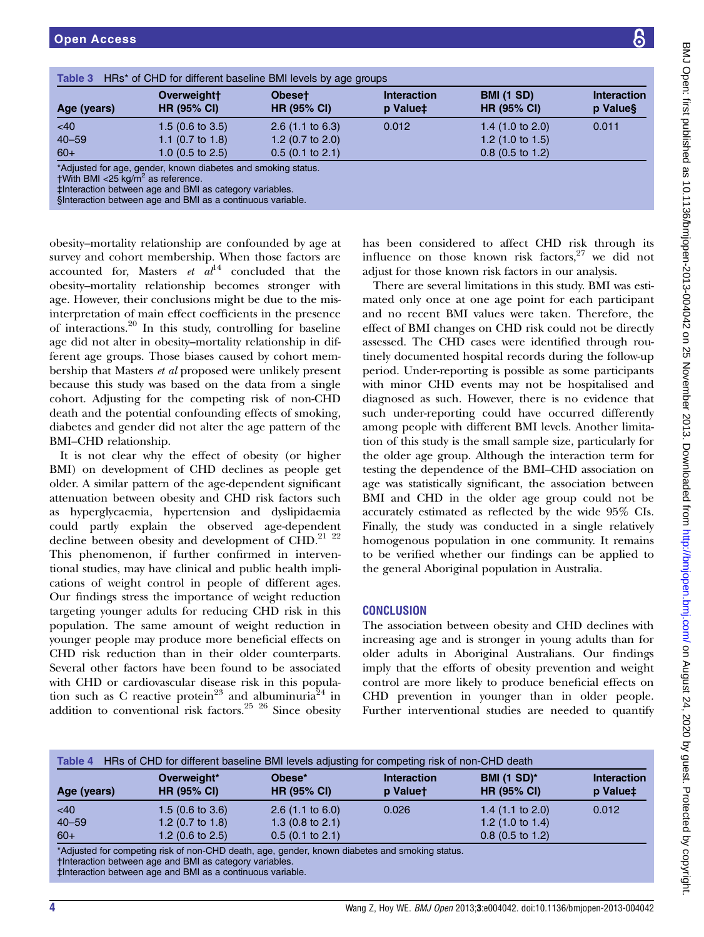BMI–CHD relationship.

| Age (years)                                      | Overweightt<br><b>HR (95% CI)</b>                                                                                                                                                                                                                                                                           | <b>Obeset</b><br><b>HR (95% CI)</b>                                             | <b>Interaction</b><br>p Value‡ | <b>BMI (1 SD)</b><br><b>HR (95% CI)</b>                                                                                                                                                                                                                                                     | <b>Interaction</b><br>p Value§ |
|--------------------------------------------------|-------------------------------------------------------------------------------------------------------------------------------------------------------------------------------------------------------------------------------------------------------------------------------------------------------------|---------------------------------------------------------------------------------|--------------------------------|---------------------------------------------------------------------------------------------------------------------------------------------------------------------------------------------------------------------------------------------------------------------------------------------|--------------------------------|
| <40<br>$40 - 59$<br>$60+$                        | $1.5(0.6 \text{ to } 3.5)$<br>1.1 $(0.7 \text{ to } 1.8)$<br>1.0 $(0.5$ to 2.5)                                                                                                                                                                                                                             | $2.6$ (1.1 to 6.3)<br>1.2 $(0.7 \text{ to } 2.0)$<br>$0.5(0.1 \text{ to } 2.1)$ | 0.012                          | 1.4 $(1.0 \text{ to } 2.0)$<br>1.2 $(1.0 \text{ to } 1.5)$<br>$0.8$ (0.5 to 1.2)                                                                                                                                                                                                            | 0.011                          |
| $t$ With BMI <25 kg/m <sup>2</sup> as reference. | *Adjusted for age, gender, known diabetes and smoking status.<br>‡Interaction between age and BMI as category variables.<br>Sinteraction between age and BMI as a continuous variable.                                                                                                                      |                                                                                 |                                |                                                                                                                                                                                                                                                                                             |                                |
|                                                  | obesity–mortality relationship are confounded by age at<br>survey and cohort membership. When those factors are<br>accounted for, Masters <i>et al</i> <sup>14</sup> concluded that the<br>obesity-mortality relationship becomes stronger with<br>age. However, their conclusions might be due to the mis- |                                                                                 |                                | has been considered to affect CHD risk through its<br>influence on those known risk factors, $27$ we did not<br>adjust for those known risk factors in our analysis.<br>There are several limitations in this study. BMI was esti-<br>mated only once at one age point for each participant |                                |

ge point for each participant and no recent BMI values were taken. Therefore, the effect of BMI changes on CHD risk could not be directly assessed. The CHD cases were identified through routinely documented hospital records during the follow-up period. Under-reporting is possible as some participants with minor CHD events may not be hospitalised and diagnosed as such. However, there is no evidence that such under-reporting could have occurred differently among people with different BMI levels. Another limitation of this study is the small sample size, particularly for the older age group. Although the interaction term for testing the dependence of the BMI–CHD association on age was statistically significant, the association between BMI and CHD in the older age group could not be accurately estimated as reflected by the wide 95% CIs. Finally, the study was conducted in a single relatively homogenous population in one community. It remains to be verified whether our findings can be applied to the general Aboriginal population in Australia.

# **CONCLUSION**

The association between obesity and CHD declines with increasing age and is stronger in young adults than for older adults in Aboriginal Australians. Our findings imply that the efforts of obesity prevention and weight control are more likely to produce beneficial effects on CHD prevention in younger than in older people. Further interventional studies are needed to quantify

| Table 4 HRs of CHD for different baseline BMI levels adjusting for competing risk of non-CHD death |                                   |                                          |                                |                                          |                                |  |
|----------------------------------------------------------------------------------------------------|-----------------------------------|------------------------------------------|--------------------------------|------------------------------------------|--------------------------------|--|
| Age (years)                                                                                        | Overweight*<br><b>HR (95% CI)</b> | Obese <sup>*</sup><br><b>HR (95% CI)</b> | <b>Interaction</b><br>p Valuet | <b>BMI (1 SD)*</b><br><b>HR (95% CI)</b> | <b>Interaction</b><br>p Value‡ |  |
| <40                                                                                                | $1.5(0.6 \text{ to } 3.6)$        | $2.6(1.1 \text{ to } 6.0)$               | 0.026                          | 1.4 $(1.1 \text{ to } 2.0)$              | 0.012                          |  |
| $40 - 59$                                                                                          | 1.2 $(0.7 \text{ to } 1.8)$       | 1.3 $(0.8 \text{ to } 2.1)$              |                                | 1.2 $(1.0 \text{ to } 1.4)$              |                                |  |
| $60+$                                                                                              | 1.2 $(0.6 \text{ to } 2.5)$       | $0.5(0.1)$ to 2.1)                       |                                | $0.8$ (0.5 to 1.2)                       |                                |  |

Adjusted for competing risk of non-CHD death, age, gender, known diabetes and smoking status. †Interaction between age and BMI as category variables.

‡Interaction between age and BMI as a continuous variable.

interpretation of main effect coefficients in the presence of interactions. $20$  In this study, controlling for baseline age did not alter in obesity–mortality relationship in different age groups. Those biases caused by cohort membership that Masters et al proposed were unlikely present because this study was based on the data from a single cohort. Adjusting for the competing risk of non-CHD death and the potential confounding effects of smoking, diabetes and gender did not alter the age pattern of the

It is not clear why the effect of obesity (or higher BMI) on development of CHD declines as people get older. A similar pattern of the age-dependent significant attenuation between obesity and CHD risk factors such as hyperglycaemia, hypertension and dyslipidaemia could partly explain the observed age-dependent decline between obesity and development of CHD. $^{21}$   $^{22}$ This phenomenon, if further confirmed in interventional studies, may have clinical and public health implications of weight control in people of different ages. Our findings stress the importance of weight reduction targeting younger adults for reducing CHD risk in this population. The same amount of weight reduction in younger people may produce more beneficial effects on CHD risk reduction than in their older counterparts. Several other factors have been found to be associated with CHD or cardiovascular disease risk in this population such as C reactive protein<sup>23</sup> and albuminuria<sup>24</sup> in addition to conventional risk factors.<sup>25</sup>  $^{26}$  Since obesity